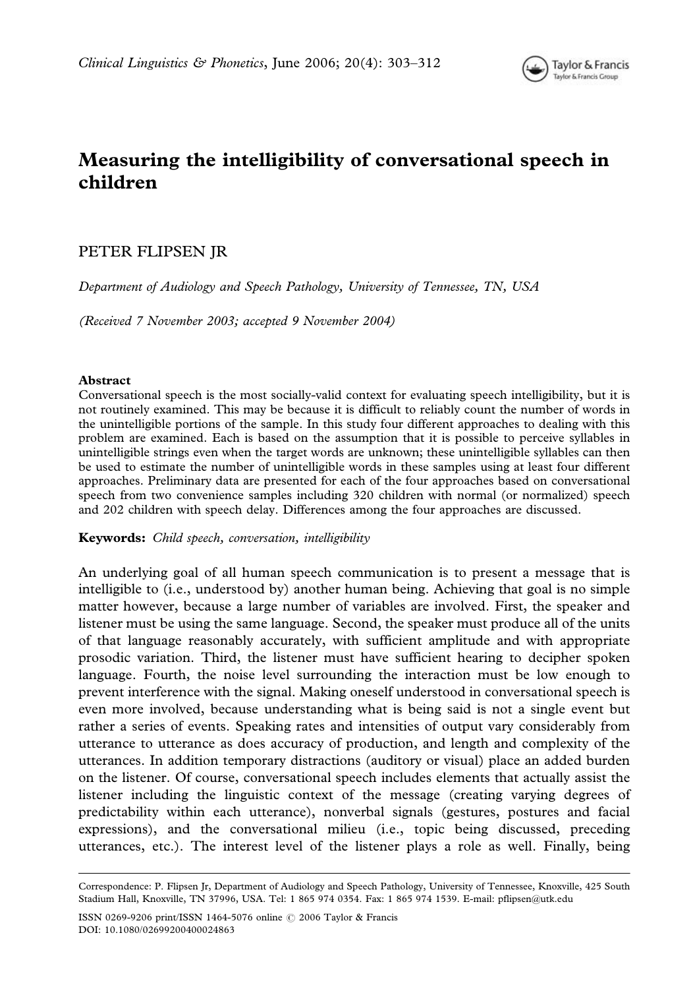

# Measuring the intelligibility of conversational speech in children

## PETER FLIPSEN JR

Department of Audiology and Speech Pathology, University of Tennessee, TN, USA

(Received 7 November 2003; accepted 9 November 2004)

#### Abstract

Conversational speech is the most socially-valid context for evaluating speech intelligibility, but it is not routinely examined. This may be because it is difficult to reliably count the number of words in the unintelligible portions of the sample. In this study four different approaches to dealing with this problem are examined. Each is based on the assumption that it is possible to perceive syllables in unintelligible strings even when the target words are unknown; these unintelligible syllables can then be used to estimate the number of unintelligible words in these samples using at least four different approaches. Preliminary data are presented for each of the four approaches based on conversational speech from two convenience samples including 320 children with normal (or normalized) speech and 202 children with speech delay. Differences among the four approaches are discussed.

#### Keywords: Child speech, conversation, intelligibility

An underlying goal of all human speech communication is to present a message that is intelligible to (i.e., understood by) another human being. Achieving that goal is no simple matter however, because a large number of variables are involved. First, the speaker and listener must be using the same language. Second, the speaker must produce all of the units of that language reasonably accurately, with sufficient amplitude and with appropriate prosodic variation. Third, the listener must have sufficient hearing to decipher spoken language. Fourth, the noise level surrounding the interaction must be low enough to prevent interference with the signal. Making oneself understood in conversational speech is even more involved, because understanding what is being said is not a single event but rather a series of events. Speaking rates and intensities of output vary considerably from utterance to utterance as does accuracy of production, and length and complexity of the utterances. In addition temporary distractions (auditory or visual) place an added burden on the listener. Of course, conversational speech includes elements that actually assist the listener including the linguistic context of the message (creating varying degrees of predictability within each utterance), nonverbal signals (gestures, postures and facial expressions), and the conversational milieu (i.e., topic being discussed, preceding utterances, etc.). The interest level of the listener plays a role as well. Finally, being

Correspondence: P. Flipsen Jr, Department of Audiology and Speech Pathology, University of Tennessee, Knoxville, 425 South Stadium Hall, Knoxville, TN 37996, USA. Tel: 1 865 974 0354. Fax: 1 865 974 1539. E-mail: pflipsen@utk.edu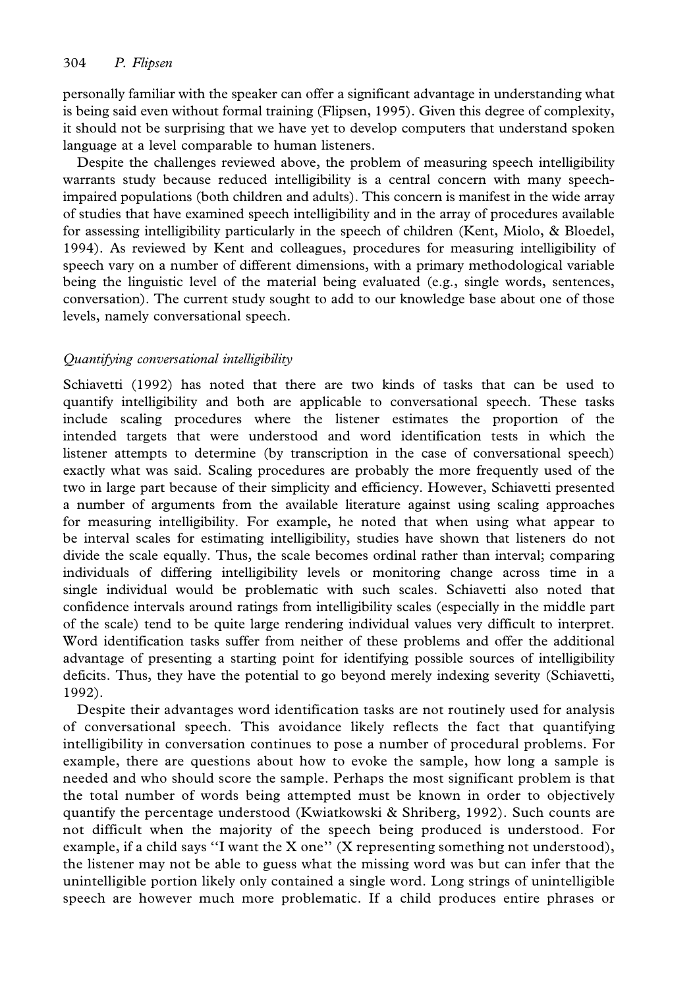personally familiar with the speaker can offer a significant advantage in understanding what is being said even without formal training (Flipsen, 1995). Given this degree of complexity, it should not be surprising that we have yet to develop computers that understand spoken language at a level comparable to human listeners.

Despite the challenges reviewed above, the problem of measuring speech intelligibility warrants study because reduced intelligibility is a central concern with many speechimpaired populations (both children and adults). This concern is manifest in the wide array of studies that have examined speech intelligibility and in the array of procedures available for assessing intelligibility particularly in the speech of children (Kent, Miolo, & Bloedel, 1994). As reviewed by Kent and colleagues, procedures for measuring intelligibility of speech vary on a number of different dimensions, with a primary methodological variable being the linguistic level of the material being evaluated (e.g., single words, sentences, conversation). The current study sought to add to our knowledge base about one of those levels, namely conversational speech.

## Quantifying conversational intelligibility

Schiavetti (1992) has noted that there are two kinds of tasks that can be used to quantify intelligibility and both are applicable to conversational speech. These tasks include scaling procedures where the listener estimates the proportion of the intended targets that were understood and word identification tests in which the listener attempts to determine (by transcription in the case of conversational speech) exactly what was said. Scaling procedures are probably the more frequently used of the two in large part because of their simplicity and efficiency. However, Schiavetti presented a number of arguments from the available literature against using scaling approaches for measuring intelligibility. For example, he noted that when using what appear to be interval scales for estimating intelligibility, studies have shown that listeners do not divide the scale equally. Thus, the scale becomes ordinal rather than interval; comparing individuals of differing intelligibility levels or monitoring change across time in a single individual would be problematic with such scales. Schiavetti also noted that confidence intervals around ratings from intelligibility scales (especially in the middle part of the scale) tend to be quite large rendering individual values very difficult to interpret. Word identification tasks suffer from neither of these problems and offer the additional advantage of presenting a starting point for identifying possible sources of intelligibility deficits. Thus, they have the potential to go beyond merely indexing severity (Schiavetti, 1992).

Despite their advantages word identification tasks are not routinely used for analysis of conversational speech. This avoidance likely reflects the fact that quantifying intelligibility in conversation continues to pose a number of procedural problems. For example, there are questions about how to evoke the sample, how long a sample is needed and who should score the sample. Perhaps the most significant problem is that the total number of words being attempted must be known in order to objectively quantify the percentage understood (Kwiatkowski  $\&$  Shriberg, 1992). Such counts are not difficult when the majority of the speech being produced is understood. For example, if a child says ''I want the X one'' (X representing something not understood), the listener may not be able to guess what the missing word was but can infer that the unintelligible portion likely only contained a single word. Long strings of unintelligible speech are however much more problematic. If a child produces entire phrases or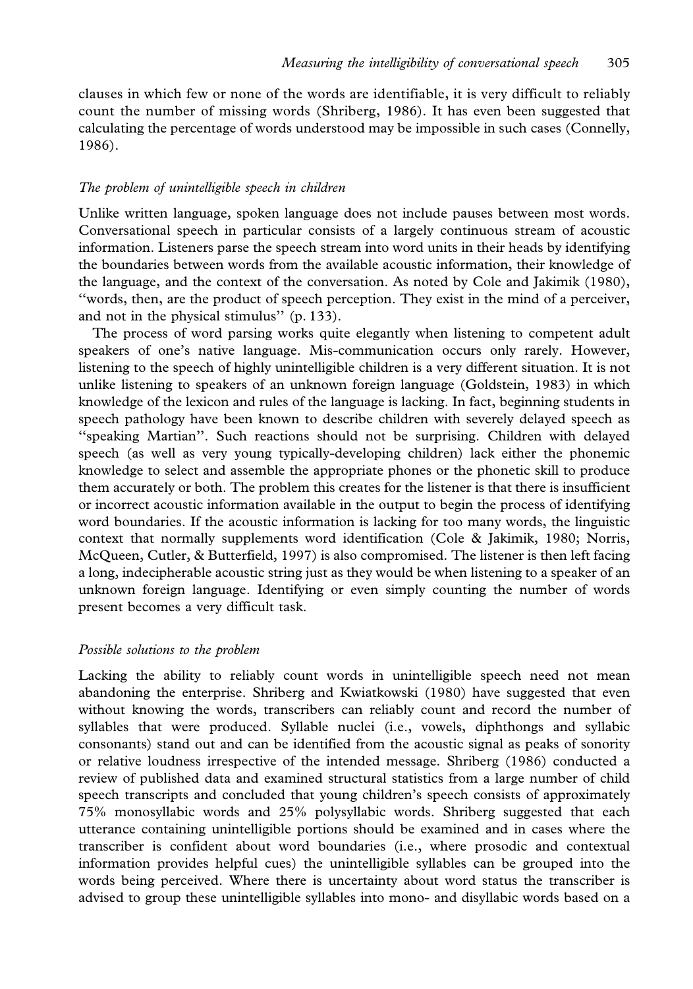clauses in which few or none of the words are identifiable, it is very difficult to reliably count the number of missing words (Shriberg, 1986). It has even been suggested that calculating the percentage of words understood may be impossible in such cases (Connelly, 1986).

#### The problem of unintelligible speech in children

Unlike written language, spoken language does not include pauses between most words. Conversational speech in particular consists of a largely continuous stream of acoustic information. Listeners parse the speech stream into word units in their heads by identifying the boundaries between words from the available acoustic information, their knowledge of the language, and the context of the conversation. As noted by Cole and Jakimik (1980), ''words, then, are the product of speech perception. They exist in the mind of a perceiver, and not in the physical stimulus'' (p. 133).

The process of word parsing works quite elegantly when listening to competent adult speakers of one's native language. Mis-communication occurs only rarely. However, listening to the speech of highly unintelligible children is a very different situation. It is not unlike listening to speakers of an unknown foreign language (Goldstein, 1983) in which knowledge of the lexicon and rules of the language is lacking. In fact, beginning students in speech pathology have been known to describe children with severely delayed speech as ''speaking Martian''. Such reactions should not be surprising. Children with delayed speech (as well as very young typically-developing children) lack either the phonemic knowledge to select and assemble the appropriate phones or the phonetic skill to produce them accurately or both. The problem this creates for the listener is that there is insufficient or incorrect acoustic information available in the output to begin the process of identifying word boundaries. If the acoustic information is lacking for too many words, the linguistic context that normally supplements word identification (Cole & Jakimik, 1980; Norris, McQueen, Cutler, & Butterfield, 1997) is also compromised. The listener is then left facing a long, indecipherable acoustic string just as they would be when listening to a speaker of an unknown foreign language. Identifying or even simply counting the number of words present becomes a very difficult task.

#### Possible solutions to the problem

Lacking the ability to reliably count words in unintelligible speech need not mean abandoning the enterprise. Shriberg and Kwiatkowski (1980) have suggested that even without knowing the words, transcribers can reliably count and record the number of syllables that were produced. Syllable nuclei (i.e., vowels, diphthongs and syllabic consonants) stand out and can be identified from the acoustic signal as peaks of sonority or relative loudness irrespective of the intended message. Shriberg (1986) conducted a review of published data and examined structural statistics from a large number of child speech transcripts and concluded that young children's speech consists of approximately 75% monosyllabic words and 25% polysyllabic words. Shriberg suggested that each utterance containing unintelligible portions should be examined and in cases where the transcriber is confident about word boundaries (i.e., where prosodic and contextual information provides helpful cues) the unintelligible syllables can be grouped into the words being perceived. Where there is uncertainty about word status the transcriber is advised to group these unintelligible syllables into mono- and disyllabic words based on a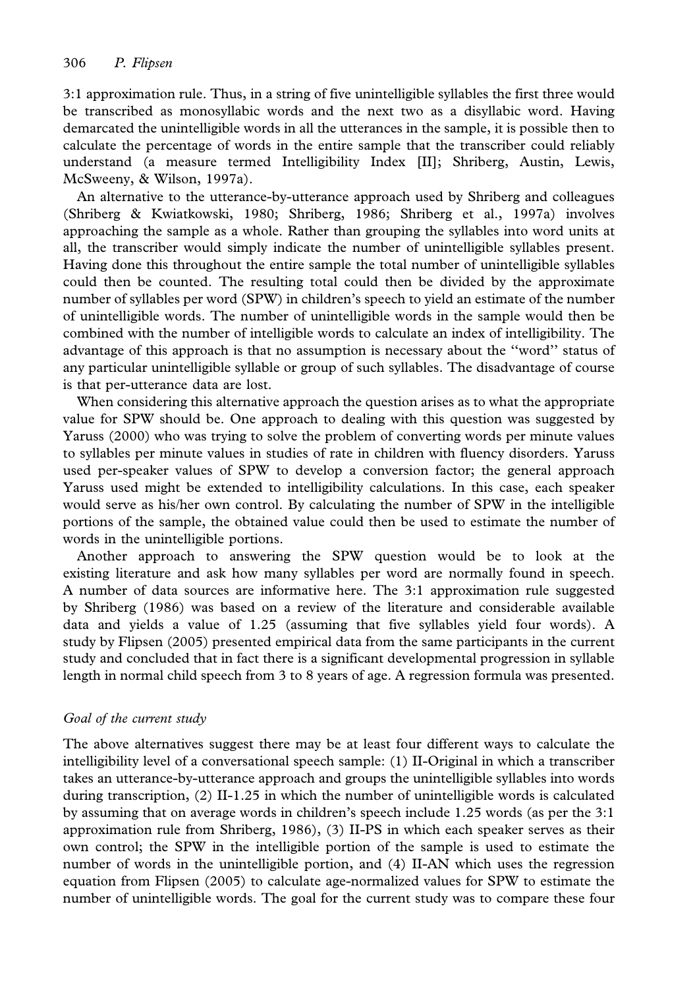3:1 approximation rule. Thus, in a string of five unintelligible syllables the first three would be transcribed as monosyllabic words and the next two as a disyllabic word. Having demarcated the unintelligible words in all the utterances in the sample, it is possible then to calculate the percentage of words in the entire sample that the transcriber could reliably understand (a measure termed Intelligibility Index [II]; Shriberg, Austin, Lewis, McSweeny, & Wilson, 1997a).

An alternative to the utterance-by-utterance approach used by Shriberg and colleagues (Shriberg & Kwiatkowski, 1980; Shriberg, 1986; Shriberg et al., 1997a) involves approaching the sample as a whole. Rather than grouping the syllables into word units at all, the transcriber would simply indicate the number of unintelligible syllables present. Having done this throughout the entire sample the total number of unintelligible syllables could then be counted. The resulting total could then be divided by the approximate number of syllables per word (SPW) in children's speech to yield an estimate of the number of unintelligible words. The number of unintelligible words in the sample would then be combined with the number of intelligible words to calculate an index of intelligibility. The advantage of this approach is that no assumption is necessary about the ''word'' status of any particular unintelligible syllable or group of such syllables. The disadvantage of course is that per-utterance data are lost.

When considering this alternative approach the question arises as to what the appropriate value for SPW should be. One approach to dealing with this question was suggested by Yaruss (2000) who was trying to solve the problem of converting words per minute values to syllables per minute values in studies of rate in children with fluency disorders. Yaruss used per-speaker values of SPW to develop a conversion factor; the general approach Yaruss used might be extended to intelligibility calculations. In this case, each speaker would serve as his/her own control. By calculating the number of SPW in the intelligible portions of the sample, the obtained value could then be used to estimate the number of words in the unintelligible portions.

Another approach to answering the SPW question would be to look at the existing literature and ask how many syllables per word are normally found in speech. A number of data sources are informative here. The 3:1 approximation rule suggested by Shriberg (1986) was based on a review of the literature and considerable available data and yields a value of 1.25 (assuming that five syllables yield four words). A study by Flipsen (2005) presented empirical data from the same participants in the current study and concluded that in fact there is a significant developmental progression in syllable length in normal child speech from 3 to 8 years of age. A regression formula was presented.

## Goal of the current study

The above alternatives suggest there may be at least four different ways to calculate the intelligibility level of a conversational speech sample: (1) II-Original in which a transcriber takes an utterance-by-utterance approach and groups the unintelligible syllables into words during transcription, (2) II-1.25 in which the number of unintelligible words is calculated by assuming that on average words in children's speech include 1.25 words (as per the 3:1 approximation rule from Shriberg, 1986), (3) II-PS in which each speaker serves as their own control; the SPW in the intelligible portion of the sample is used to estimate the number of words in the unintelligible portion, and (4) II-AN which uses the regression equation from Flipsen (2005) to calculate age-normalized values for SPW to estimate the number of unintelligible words. The goal for the current study was to compare these four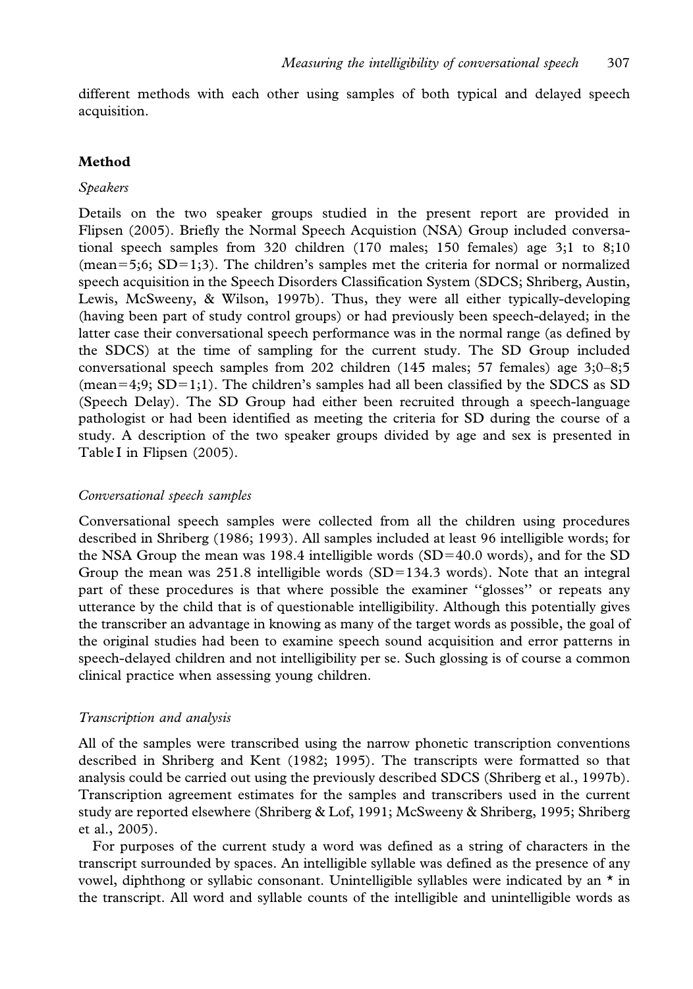different methods with each other using samples of both typical and delayed speech acquisition.

## Method

#### Speakers

Details on the two speaker groups studied in the present report are provided in Flipsen (2005). Briefly the Normal Speech Acquistion (NSA) Group included conversational speech samples from 320 children (170 males; 150 females) age 3;1 to 8;10  $(mean=5;6; SD=1;3)$ . The children's samples met the criteria for normal or normalized speech acquisition in the Speech Disorders Classification System (SDCS; Shriberg, Austin, Lewis, McSweeny, & Wilson, 1997b). Thus, they were all either typically-developing (having been part of study control groups) or had previously been speech-delayed; in the latter case their conversational speech performance was in the normal range (as defined by the SDCS) at the time of sampling for the current study. The SD Group included conversational speech samples from 202 children (145 males; 57 females) age 3;0–8;5 (mean=4;9;  $SD=1;1$ ). The children's samples had all been classified by the SDCS as SD (Speech Delay). The SD Group had either been recruited through a speech-language pathologist or had been identified as meeting the criteria for SD during the course of a study. A description of the two speaker groups divided by age and sex is presented in Table I in Flipsen (2005).

#### Conversational speech samples

Conversational speech samples were collected from all the children using procedures described in Shriberg (1986; 1993). All samples included at least 96 intelligible words; for the NSA Group the mean was 198.4 intelligible words ( $SD=40.0$  words), and for the SD Group the mean was  $251.8$  intelligible words (SD=134.3 words). Note that an integral part of these procedures is that where possible the examiner ''glosses'' or repeats any utterance by the child that is of questionable intelligibility. Although this potentially gives the transcriber an advantage in knowing as many of the target words as possible, the goal of the original studies had been to examine speech sound acquisition and error patterns in speech-delayed children and not intelligibility per se. Such glossing is of course a common clinical practice when assessing young children.

## Transcription and analysis

All of the samples were transcribed using the narrow phonetic transcription conventions described in Shriberg and Kent (1982; 1995). The transcripts were formatted so that analysis could be carried out using the previously described SDCS (Shriberg et al., 1997b). Transcription agreement estimates for the samples and transcribers used in the current study are reported elsewhere (Shriberg & Lof, 1991; McSweeny & Shriberg, 1995; Shriberg et al., 2005).

For purposes of the current study a word was defined as a string of characters in the transcript surrounded by spaces. An intelligible syllable was defined as the presence of any vowel, diphthong or syllabic consonant. Unintelligible syllables were indicated by an  $\star$  in the transcript. All word and syllable counts of the intelligible and unintelligible words as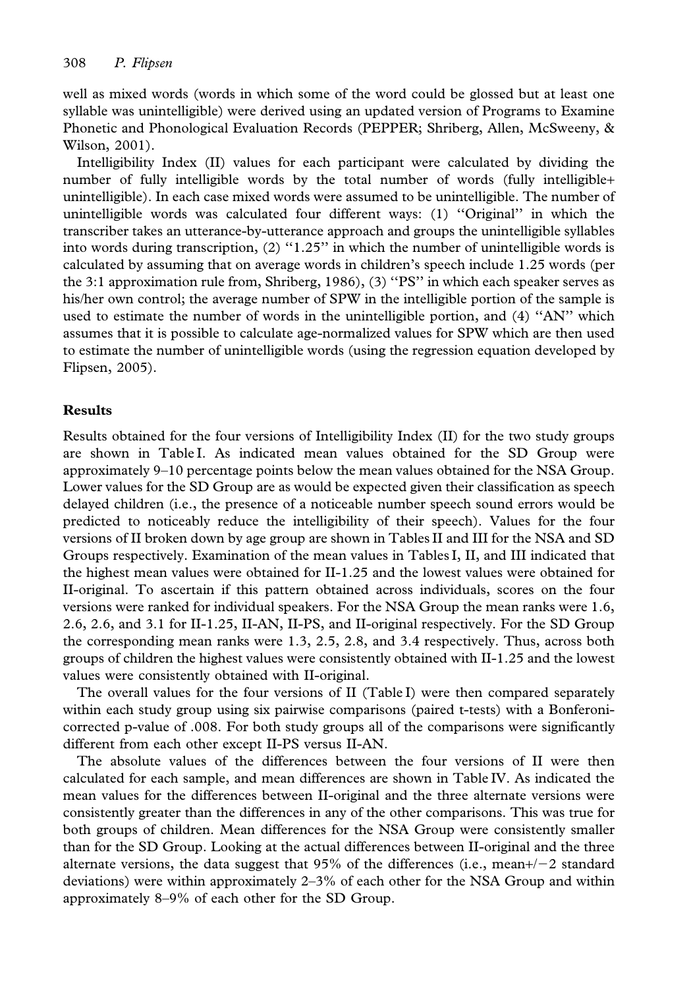well as mixed words (words in which some of the word could be glossed but at least one syllable was unintelligible) were derived using an updated version of Programs to Examine Phonetic and Phonological Evaluation Records (PEPPER; Shriberg, Allen, McSweeny, & Wilson, 2001).

Intelligibility Index (II) values for each participant were calculated by dividing the number of fully intelligible words by the total number of words (fully intelligible+ unintelligible). In each case mixed words were assumed to be unintelligible. The number of unintelligible words was calculated four different ways: (1) ''Original'' in which the transcriber takes an utterance-by-utterance approach and groups the unintelligible syllables into words during transcription,  $(2)$  "1.25" in which the number of unintelligible words is calculated by assuming that on average words in children's speech include 1.25 words (per the 3:1 approximation rule from, Shriberg, 1986), (3) ''PS'' in which each speaker serves as his/her own control; the average number of SPW in the intelligible portion of the sample is used to estimate the number of words in the unintelligible portion, and (4) ''AN'' which assumes that it is possible to calculate age-normalized values for SPW which are then used to estimate the number of unintelligible words (using the regression equation developed by Flipsen, 2005).

## Results

Results obtained for the four versions of Intelligibility Index (II) for the two study groups are shown in Table I. As indicated mean values obtained for the SD Group were approximately 9–10 percentage points below the mean values obtained for the NSA Group. Lower values for the SD Group are as would be expected given their classification as speech delayed children (i.e., the presence of a noticeable number speech sound errors would be predicted to noticeably reduce the intelligibility of their speech). Values for the four versions of II broken down by age group are shown in Tables II and III for the NSA and SD Groups respectively. Examination of the mean values in Tables I, II, and III indicated that the highest mean values were obtained for II-1.25 and the lowest values were obtained for II-original. To ascertain if this pattern obtained across individuals, scores on the four versions were ranked for individual speakers. For the NSA Group the mean ranks were 1.6, 2.6, 2.6, and 3.1 for II-1.25, II-AN, II-PS, and II-original respectively. For the SD Group the corresponding mean ranks were 1.3, 2.5, 2.8, and 3.4 respectively. Thus, across both groups of children the highest values were consistently obtained with II-1.25 and the lowest values were consistently obtained with II-original.

The overall values for the four versions of II (Table I) were then compared separately within each study group using six pairwise comparisons (paired t-tests) with a Bonferonicorrected p-value of .008. For both study groups all of the comparisons were significantly different from each other except II-PS versus II-AN.

The absolute values of the differences between the four versions of II were then calculated for each sample, and mean differences are shown in Table IV. As indicated the mean values for the differences between II-original and the three alternate versions were consistently greater than the differences in any of the other comparisons. This was true for both groups of children. Mean differences for the NSA Group were consistently smaller than for the SD Group. Looking at the actual differences between II-original and the three alternate versions, the data suggest that  $95\%$  of the differences (i.e., mean+/ $-2$  standard deviations) were within approximately 2–3% of each other for the NSA Group and within approximately 8–9% of each other for the SD Group.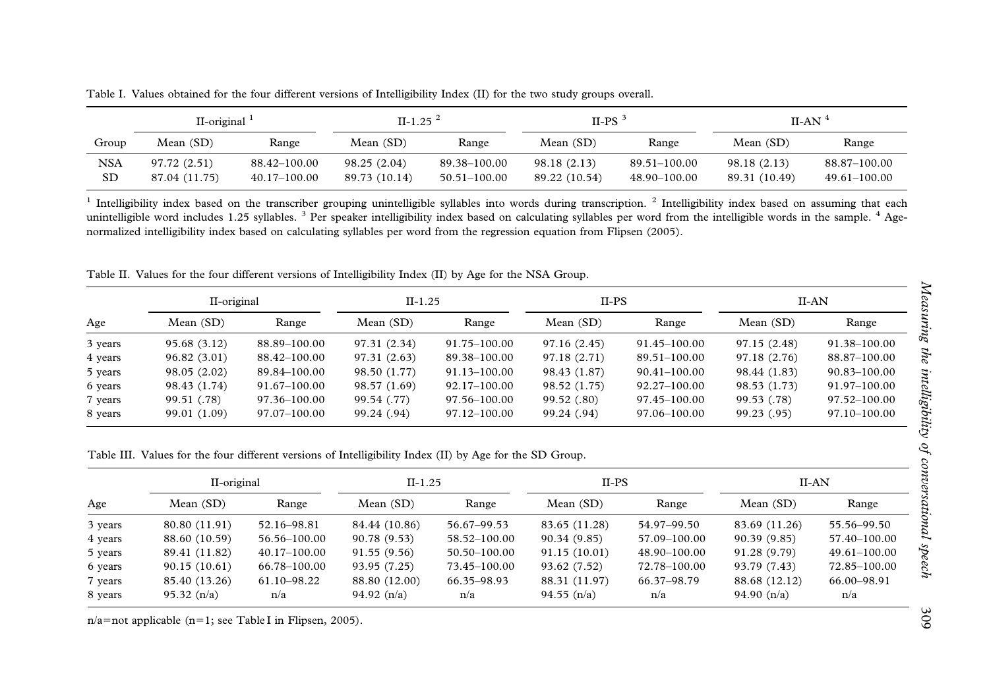|       | $II$ -original $1$ |                  | $II-1.25$ <sup>2</sup> |                  | $II-PS$       |              | $II-AN4$      |                  |
|-------|--------------------|------------------|------------------------|------------------|---------------|--------------|---------------|------------------|
| Group | Mean (SD)          | Range            | Mean (SD)              | Range            | Mean (SD)     | Range        | Mean(SD)      | Range            |
| NSA   | 97.72 (2.51)       | 88.42-100.00     | 98.25 (2.04)           | 89.38-100.00     | 98.18 (2.13)  | 89.51-100.00 | 98.18 (2.13)  | 88.87-100.00     |
| SD.   | 87.04 (11.75)      | $40.17 - 100.00$ | 89.73 (10.14)          | $50.51 - 100.00$ | 89.22 (10.54) | 48.90-100.00 | 89.31 (10.49) | $49.61 - 100.00$ |

Table I. Values obtained for the four different versions of Intelligibility Index (II) for the two study groups overall.

 $<sup>1</sup>$  Intelligibility index based on the transcriber grouping unintelligible syllables into words during transcription.  $<sup>2</sup>$  Intelligibility index based on assuming that each</sup></sup> unintelligible word includes 1.25 syllables.<sup>3</sup> Per speaker intelligibility index based on calculating syllables per word from the intelligible words in the sample.<sup>4</sup> Agenormalized intelligibility index based on calculating syllables per word from the regression equation from Flipsen (2005).

Table II. Values for the four different versions of Intelligibility Index (II) by Age for the NSA Group.

|         | II-original  |              | $II-1.25$    |              | II-PS        |              | <b>II-AN</b> |              |
|---------|--------------|--------------|--------------|--------------|--------------|--------------|--------------|--------------|
| Age     | Mean $(SD)$  | Range        | Mean(SD)     | Range        | Mean $(SD)$  | Range        | Mean $(SD)$  | Range        |
| 3 years | 95.68 (3.12) | 88.89-100.00 | 97.31 (2.34) | 91.75-100.00 | 97.16 (2.45) | 91.45-100.00 | 97.15 (2.48) | 91.38-100.00 |
| 4 years | 96.82(3.01)  | 88.42-100.00 | 97.31 (2.63) | 89.38-100.00 | 97.18 (2.71) | 89.51-100.00 | 97.18 (2.76) | 88.87-100.00 |
| 5 years | 98.05 (2.02) | 89.84-100.00 | 98.50 (1.77) | 91.13-100.00 | 98.43 (1.87) | 90.41-100.00 | 98.44 (1.83) | 90.83-100.00 |
| 6 years | 98.43 (1.74) | 91.67-100.00 | 98.57 (1.69) | 92.17-100.00 | 98.52 (1.75) | 92.27–100.00 | 98.53 (1.73) | 91.97-100.00 |
| 7 years | 99.51 (.78)  | 97.36-100.00 | 99.54 (.77)  | 97.56-100.00 | 99.52 (.80)  | 97.45-100.00 | 99.53 (.78)  | 97.52–100.00 |
| 8 years | 99.01 (1.09) | 97.07-100.00 | 99.24 (.94)  | 97.12–100.00 | 99.24 (.94)  | 97.06-100.00 | 99.23 (.95)  | 97.10-100.00 |

Table III. Values for the four different versions of Intelligibility Index (II) by Age for the SD Group.

|         | II-original      |                  | $II-1.25$     |                | $II-PS$       |                | $II-AN$       |                  |
|---------|------------------|------------------|---------------|----------------|---------------|----------------|---------------|------------------|
| Age     | Mean $(SD)$      | Range            | Mean $(SD)$   | Range          | Mean $(SD)$   | Range          | Mean $(SD)$   | Range            |
| 3 years | 80.80 (11.91)    | 52.16-98.81      | 84.44 (10.86) | 56.67-99.53    | 83.65 (11.28) | 54.97-99.50    | 83.69 (11.26) | 55.56-99.50      |
| 4 years | 88.60 (10.59)    | 56.56-100.00     | 90.78 (9.53)  | 58.52-100.00   | 90.34(9.85)   | 57.09–100.00   | 90.39 (9.85)  | 57.40-100.00     |
| 5 years | 89.41 (11.82)    | $40.17 - 100.00$ | 91.55(9.56)   | 50.50 - 100.00 | 91.15(10.01)  | 48.90 - 100.00 | 91.28 (9.79)  | $49.61 - 100.00$ |
| 6 years | 90.15(10.61)     | 66.78-100.00     | 93.95 (7.25)  | 73.45-100.00   | 93.62 (7.52)  | 72.78-100.00   | 93.79 (7.43)  | 72.85-100.00     |
| 7 years | 85.40 (13.26)    | 61.10–98.22      | 88.80 (12.00) | 66.35–98.93    | 88.31 (11.97) | 66.37-98.79    | 88.68 (12.12) | 66.00 - 98.91    |
| 8 years | $95.32 \; (n/a)$ | n/a              | $94.92$ (n/a) | n/a            | $94.55$ (n/a) | n/a            | $94.90$ (n/a) | n/a              |

n/a=not applicable (n=1; see Table I in Flipsen, 2005).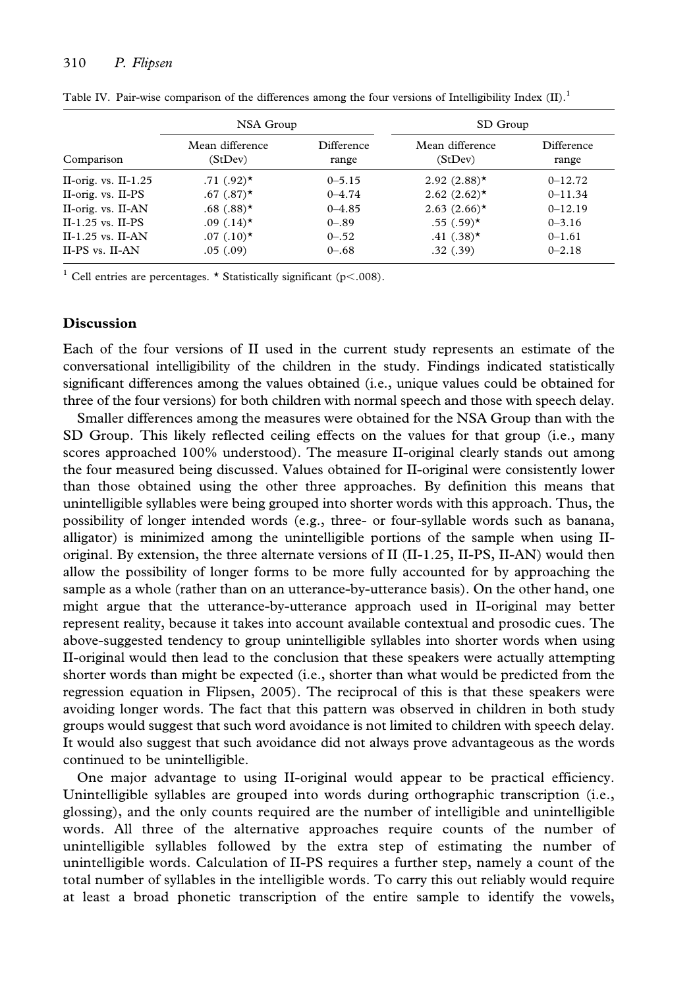|                        | NSA Group                  |                     | SD Group                     |                            |  |
|------------------------|----------------------------|---------------------|------------------------------|----------------------------|--|
| Comparison             | Mean difference<br>(StDev) | Difference<br>range | Mean difference<br>(StDev)   | <b>Difference</b><br>range |  |
| II-orig. vs. $II-1.25$ | $.71(.92)$ *               | $0 - 5.15$          | 2.92 $(2.88)$ <sup>*</sup>   | $0 - 12.72$                |  |
| II-orig. vs. II-PS     | $.67(.87)$ *               | $0 - 4.74$          | 2.62 $(2.62)^*$              | $0 - 11.34$                |  |
| II-orig. vs. II-AN     | $.68(.88)$ *               | $0 - 4.85$          | $2.63$ $(2.66)$ <sup>*</sup> | $0 - 12.19$                |  |
| $II-1.25$ vs. $II-PS$  | $.09(.14)$ *               | $0 - 0.89$          | $.55(.59)$ *                 | $0 - 3.16$                 |  |
| $II-1.25$ vs. $II-AN$  | $.07$ $(.10)$ <sup>*</sup> | $0 - 52$            | $.41(.38)$ *                 | $0 - 1.61$                 |  |
| II-PS vs. II-AN        | .05(.09)                   | $0 - 68$            | .32(.39)                     | $0 - 2.18$                 |  |

Table IV. Pair-wise comparison of the differences among the four versions of Intelligibility Index (II).<sup>1</sup>

<sup>1</sup> Cell entries are percentages.  $\star$  Statistically significant (p<.008).

#### Discussion

Each of the four versions of II used in the current study represents an estimate of the conversational intelligibility of the children in the study. Findings indicated statistically significant differences among the values obtained (i.e., unique values could be obtained for three of the four versions) for both children with normal speech and those with speech delay.

Smaller differences among the measures were obtained for the NSA Group than with the SD Group. This likely reflected ceiling effects on the values for that group (i.e., many scores approached 100% understood). The measure II-original clearly stands out among the four measured being discussed. Values obtained for II-original were consistently lower than those obtained using the other three approaches. By definition this means that unintelligible syllables were being grouped into shorter words with this approach. Thus, the possibility of longer intended words (e.g., three- or four-syllable words such as banana, alligator) is minimized among the unintelligible portions of the sample when using IIoriginal. By extension, the three alternate versions of II (II-1.25, II-PS, II-AN) would then allow the possibility of longer forms to be more fully accounted for by approaching the sample as a whole (rather than on an utterance-by-utterance basis). On the other hand, one might argue that the utterance-by-utterance approach used in II-original may better represent reality, because it takes into account available contextual and prosodic cues. The above-suggested tendency to group unintelligible syllables into shorter words when using II-original would then lead to the conclusion that these speakers were actually attempting shorter words than might be expected (i.e., shorter than what would be predicted from the regression equation in Flipsen, 2005). The reciprocal of this is that these speakers were avoiding longer words. The fact that this pattern was observed in children in both study groups would suggest that such word avoidance is not limited to children with speech delay. It would also suggest that such avoidance did not always prove advantageous as the words continued to be unintelligible.

One major advantage to using II-original would appear to be practical efficiency. Unintelligible syllables are grouped into words during orthographic transcription (i.e., glossing), and the only counts required are the number of intelligible and unintelligible words. All three of the alternative approaches require counts of the number of unintelligible syllables followed by the extra step of estimating the number of unintelligible words. Calculation of II-PS requires a further step, namely a count of the total number of syllables in the intelligible words. To carry this out reliably would require at least a broad phonetic transcription of the entire sample to identify the vowels,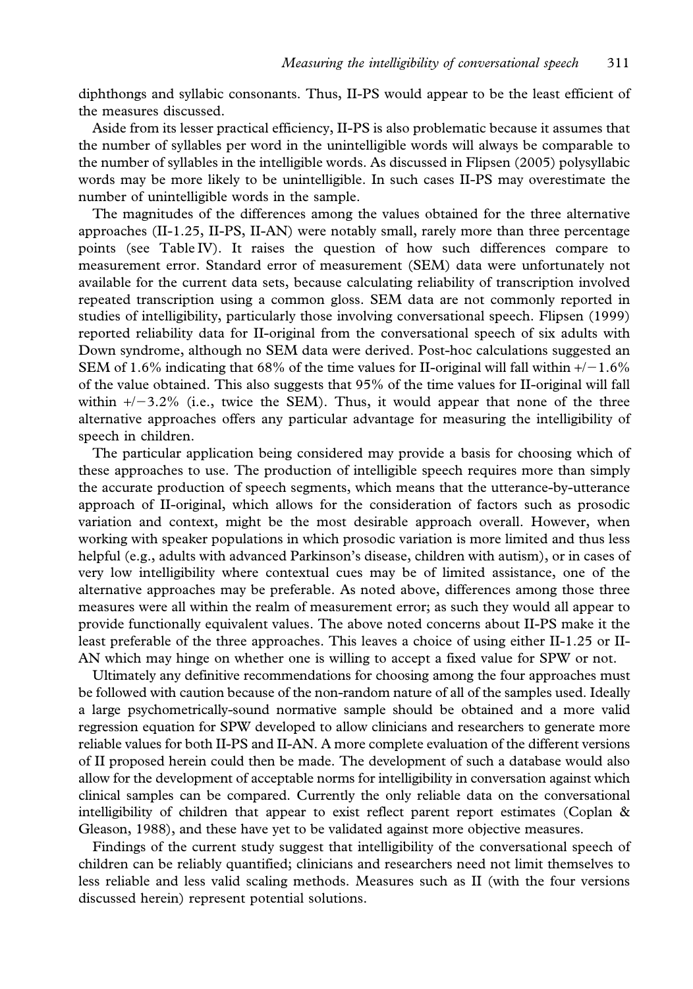diphthongs and syllabic consonants. Thus, II-PS would appear to be the least efficient of the measures discussed.

Aside from its lesser practical efficiency, II-PS is also problematic because it assumes that the number of syllables per word in the unintelligible words will always be comparable to the number of syllables in the intelligible words. As discussed in Flipsen (2005) polysyllabic words may be more likely to be unintelligible. In such cases II-PS may overestimate the number of unintelligible words in the sample.

The magnitudes of the differences among the values obtained for the three alternative approaches (II-1.25, II-PS, II-AN) were notably small, rarely more than three percentage points (see Table IV). It raises the question of how such differences compare to measurement error. Standard error of measurement (SEM) data were unfortunately not available for the current data sets, because calculating reliability of transcription involved repeated transcription using a common gloss. SEM data are not commonly reported in studies of intelligibility, particularly those involving conversational speech. Flipsen (1999) reported reliability data for II-original from the conversational speech of six adults with Down syndrome, although no SEM data were derived. Post-hoc calculations suggested an SEM of 1.6% indicating that 68% of the time values for II-original will fall within  $+/-1.6\%$ of the value obtained. This also suggests that 95% of the time values for II-original will fall within  $+/-3.2\%$  (i.e., twice the SEM). Thus, it would appear that none of the three alternative approaches offers any particular advantage for measuring the intelligibility of speech in children.

The particular application being considered may provide a basis for choosing which of these approaches to use. The production of intelligible speech requires more than simply the accurate production of speech segments, which means that the utterance-by-utterance approach of II-original, which allows for the consideration of factors such as prosodic variation and context, might be the most desirable approach overall. However, when working with speaker populations in which prosodic variation is more limited and thus less helpful (e.g., adults with advanced Parkinson's disease, children with autism), or in cases of very low intelligibility where contextual cues may be of limited assistance, one of the alternative approaches may be preferable. As noted above, differences among those three measures were all within the realm of measurement error; as such they would all appear to provide functionally equivalent values. The above noted concerns about II-PS make it the least preferable of the three approaches. This leaves a choice of using either II-1.25 or II-AN which may hinge on whether one is willing to accept a fixed value for SPW or not.

Ultimately any definitive recommendations for choosing among the four approaches must be followed with caution because of the non-random nature of all of the samples used. Ideally a large psychometrically-sound normative sample should be obtained and a more valid regression equation for SPW developed to allow clinicians and researchers to generate more reliable values for both II-PS and II-AN. A more complete evaluation of the different versions of II proposed herein could then be made. The development of such a database would also allow for the development of acceptable norms for intelligibility in conversation against which clinical samples can be compared. Currently the only reliable data on the conversational intelligibility of children that appear to exist reflect parent report estimates (Coplan & Gleason, 1988), and these have yet to be validated against more objective measures.

Findings of the current study suggest that intelligibility of the conversational speech of children can be reliably quantified; clinicians and researchers need not limit themselves to less reliable and less valid scaling methods. Measures such as II (with the four versions discussed herein) represent potential solutions.